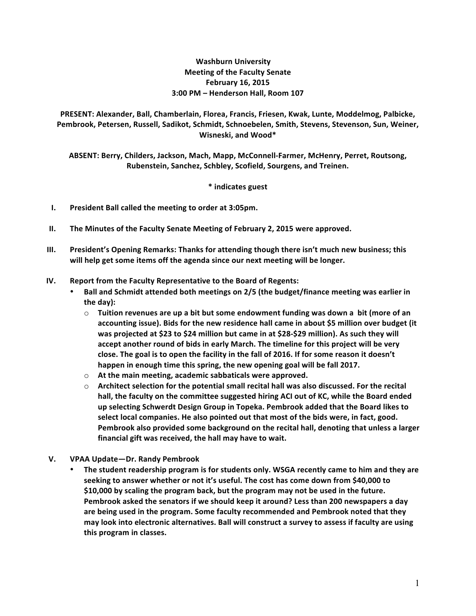## **Washburn University Meeting of the Faculty Senate February 16, 2015 3:00 PM – Henderson Hall, Room 107**

PRESENT: Alexander, Ball, Chamberlain, Florea, Francis, Friesen, Kwak, Lunte, Moddelmog, Palbicke, Pembrook, Petersen, Russell, Sadikot, Schmidt, Schnoebelen, Smith, Stevens, Stevenson, Sun, Weiner, **Wisneski, and Wood\***

ABSENT: Berry, Childers, Jackson, Mach, Mapp, McConnell-Farmer, McHenry, Perret, Routsong, Rubenstein, Sanchez, Schbley, Scofield, Sourgens, and Treinen.

**\* indicates guest**

- **I.** President Ball called the meeting to order at 3:05pm.
- **II.** The Minutes of the Faculty Senate Meeting of February 2, 2015 were approved.
- **III.** President's Opening Remarks: Thanks for attending though there isn't much new business; this will help get some items off the agenda since our next meeting will be longer.
- **IV.** Report from the Faculty Representative to the Board of Regents:
	- **Ball and Schmidt attended both meetings on 2/5 (the budget/finance meeting was earlier in** the day):
		- $\circ$  Tuition revenues are up a bit but some endowment funding was down a bit (more of an accounting issue). Bids for the new residence hall came in about \$5 million over budget (it was projected at \$23 to \$24 million but came in at \$28-\$29 million). As such they will accept another round of bids in early March. The timeline for this project will be very close. The goal is to open the facility in the fall of 2016. If for some reason it doesn't happen in enough time this spring, the new opening goal will be fall 2017.
		- $\circ$  At the main meeting, academic sabbaticals were approved.
		- $\circ$  **Architect selection for the potential small recital hall was also discussed. For the recital** hall, the faculty on the committee suggested hiring ACI out of KC, while the Board ended up selecting Schwerdt Design Group in Topeka. Pembrook added that the Board likes to select local companies. He also pointed out that most of the bids were, in fact, good. Pembrook also provided some background on the recital hall, denoting that unless a larger financial gift was received, the hall may have to wait.
- **V. VPAA Update—Dr. Randy Pembrook**
	- The student readership program is for students only. WSGA recently came to him and they are seeking to answer whether or not it's useful. The cost has come down from \$40,000 to \$10,000 by scaling the program back, but the program may not be used in the future. Pembrook asked the senators if we should keep it around? Less than 200 newspapers a day are being used in the program. Some faculty recommended and Pembrook noted that they may look into electronic alternatives. Ball will construct a survey to assess if faculty are using this program in classes.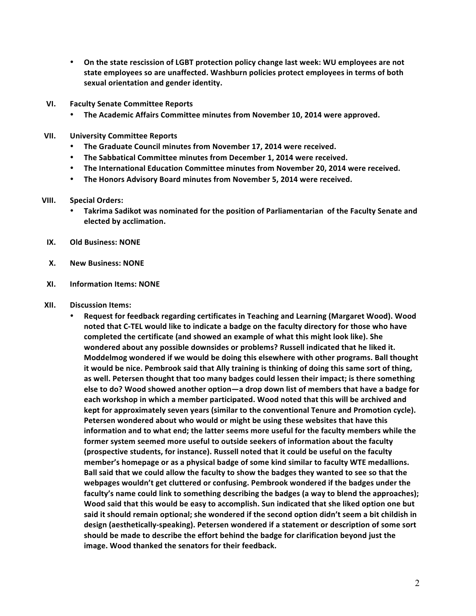- On the state rescission of LGBT protection policy change last week: WU employees are not state employees so are unaffected. Washburn policies protect employees in terms of both sexual orientation and gender identity.
- **VI. Faculty Senate Committee Reports**
	- The Academic Affairs Committee minutes from November 10, 2014 were approved.
- **VII. University Committee Reports**
	- The Graduate Council minutes from November 17, 2014 were received.
	- The Sabbatical Committee minutes from December 1, 2014 were received.
	- The International Education Committee minutes from November 20, 2014 were received.
	- The Honors Advisory Board minutes from November 5, 2014 were received.

## **VIII. Special Orders:**

- Takrima Sadikot was nominated for the position of Parliamentarian of the Faculty Senate and **elected by acclimation.**
- **IX. Old Business: NONE**
- **X. New Business: NONE**
- **XI. Information Items: NONE**
- **XII. Discussion Items:**
	- Request for feedback regarding certificates in Teaching and Learning (Margaret Wood). Wood noted that C-TEL would like to indicate a badge on the faculty directory for those who have completed the certificate (and showed an example of what this might look like). She wondered about any possible downsides or problems? Russell indicated that he liked it. **Moddelmog** wondered if we would be doing this elsewhere with other programs. Ball thought it would be nice. Pembrook said that Ally training is thinking of doing this same sort of thing, as well. Petersen thought that too many badges could lessen their impact; is there something else to do? Wood showed another option—a drop down list of members that have a badge for each workshop in which a member participated. Wood noted that this will be archived and **kept for approximately seven years (similar to the conventional Tenure and Promotion cycle). Petersen wondered about who would or might be using these websites that have this** information and to what end; the latter seems more useful for the faculty members while the **former system seemed more useful to outside seekers of information about the faculty (prospective students, for instance). Russell noted that it could be useful on the faculty** member's homepage or as a physical badge of some kind similar to faculty WTE medallions. Ball said that we could allow the faculty to show the badges they wanted to see so that the webpages wouldn't get cluttered or confusing. Pembrook wondered if the badges under the faculty's name could link to something describing the badges (a way to blend the approaches); Wood said that this would be easy to accomplish. Sun indicated that she liked option one but said it should remain optional; she wondered if the second option didn't seem a bit childish in design (aesthetically-speaking). Petersen wondered if a statement or description of some sort **should** be made to describe the effort behind the badge for clarification beyond just the image. Wood thanked the senators for their feedback.